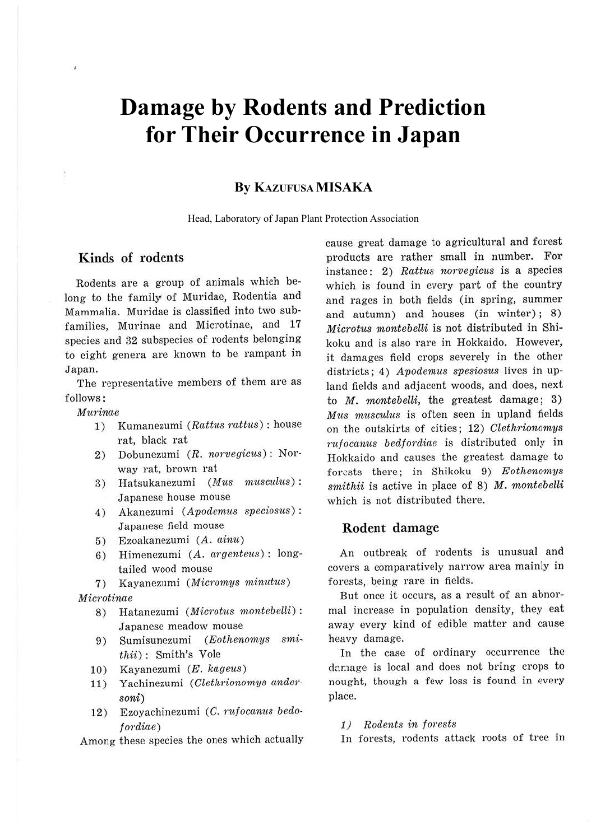# **Damage by Rodents and Prediction for Their Occurrence in Japan**

## **By KAZUFUSA MISAKA**

Head, Laboratory of Japan Plant Protection Association

# **Kinds of rodents**

Rodents are a group of animals which belong to the family of Muridae, Rodentia and Mammalia. Muridae is classified into two subfamilies, Murinae and Microtinae, and 17 species and 32 subspecies of rodents belonging to eight genera are known to be rampant in Japan.

The representative members of them are as follows :

#### Murinae

- 1) Kumanezumi (Rattus rattus): house rat, black rat
- 2) Dobunezumi (R. norvegicus) : Norway rat, brown rat
- 3) Hatsukanezumi (Mus musculus): Japanese house mouse
- 4) Akanezumi (Apodemus speciosus) : Japanese field mouse
- 5) Ezoakanezumi (A. ainu)
- 6) Himenezumi (A. argenteus) : longtailed wood mouse
- 7) Kayanezumi (Micromys minutus)

Microtinae

- 8) Hatanezumi (Microtus montebelli): Japanese meadow mouse
- 9) Sumisunezumi (Eothenomys smithii) : Smith's Vole
- 10) Kayanezumi (E. kageus)
- 11) Yachinezumi (Clethrionomys andersoni)
- 12) Ezoyachinezumi (C. rufocanus bedofordiae)

Among these species the ones which actually

cause great damage to agricultural and forest products are rather small in number. For instance: 2) Rattus norvegicus is a species which is found in every part of the country and rages in both fields (in spring, summer and autumn) and houses (in winter); 8) Microtus montebelli is not distributed in Shikoku and is also rare in Hokkaido. However, it damages field crops severely in the other districts; 4) Apodemus spesiosus lives in upland fields and adjacent woods, and does, next to  $M$ . montebelli, the greatest damage; 3) Mus musculus is often seen in upland fields on the outskirts of cities; 12) Clethrionomys rufocanus bedfordiae is distributed only in Hokkaido and causes the greatest damage to forests there; in Shikoku 9) Eothenomys smithii is active in place of  $8$ ) M. montebelli which is not distributed there.

### **Rodent damage**

An outbreak of rodents is unusual and covers a comparatively narrow area mainly in forests, being rare in fields.

But once it occurs, as a result of an abnormal increase in population density, they eat away every kind of edible matter and cause heavy damage.

In the case of ordinary occurrence the daraage is local and does not bring crops to nought, though a few loss is found in every place.

1) Rodents in forests

In forests, rodents attack roots of tree in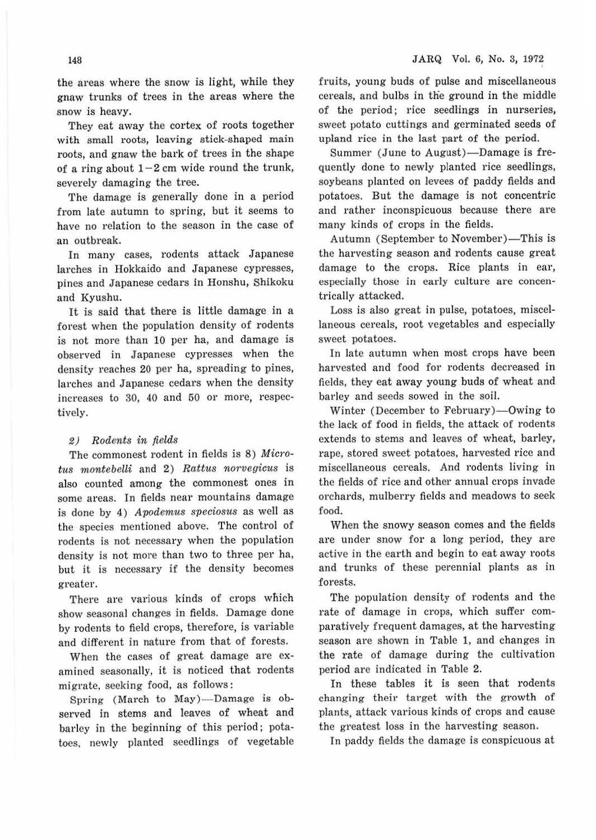the areas where the snow is light, while they gnaw trunks of trees in the areas where the snow is heavy.

They eat away the cortex of roots together with small roots, leaving stick-shaped main roots, and gnaw the bark of trees in the shape of a ring about  $1-2$  cm wide round the trunk, severely damaging the tree.

The damage is generally done in a period from late autumn to spring, but it seems to have no relation to the season in the case of an outbreak.

In many cases, rodents attack Japanese larches in Hokkaido and Japanese cypresses, pines and Japanese cedars in Honshu, Shikoku and Kyushu.

It is said that there is little damage in a forest when the population density of rodents is not more than 10 per ha, and damage is observed in Japanese cypresses when the density reaches 20 per ha, spreading to pines, larches and Japanese cedars when the density increases to 30, 40 and 50 or more, respectively.

#### *2) Rodents in fields*

The commonest rodent in fields is 8) Micro*tus 11wntebelli* and 2) *Rattus norvegicus* is also counted among the commonest ones in some areas. In fields near mountains damage is done by 4) *Apodemus speciosus* as well as the species mentioned above. The control of rodents is not necessary when the population density is not more than two to three per ha, but it is necessary if the density becomes greater.

There are various kinds of crops which show seasonal changes in fields. Damage done by rodents to field crops, therefore, is variable and different in nature from that of forests.

When the cases of great damage are examined seasonally, it is noticed that rodents migrate, seeking food, as follows:

Spring (March to May)-Damage is observed in stems and leaves of wheat and barley in the beginning of this period; potatoes. newly planted seedlings of vegetable fruits, young buds of pulse and miscellaneous cereals, and bulbs in the ground in the middle of the period; rice seedlings in nurseries, sweet potato cuttings and germinated seeds of upland rice in the last part of the period.

Summer (June to August)-Damage is frequently done to newly planted rice seedlings, soybeans planted on levees of paddy fields and potatoes. But the damage is not concentric and rather inconspicuous because there are many kinds of crops in the fields.

Autumn (September to November)-This is the harvesting season and rodents cause great damage to the crops. Rice plants in ear, especially those in early culture are concentrically attacked.

Loss is also great in pulse, potatoes, miscellaneous cereals, root vegetables and especially sweet potatoes.

In late autumn when most crops have been harvested and food for rodents decreased in fields, they eat away young buds of wheat and barley and seeds sowed in the soil.

Winter (December to February)-Owing to the lack of food in fields, the attack of rodents extends to stems and leaves of wheat, barley, rape, stored sweet potatoes, harvested rice and miscellaneous cereals. And rodents living in the fields of rice and other annual crops invade orchards, mulberry fields and meadows to seek food.

When the snowy season comes and the fields are under snow for a long period, they are active in the earth and begin to eat away roots and trunks of these perennial plants as in forests.

The population density of rodents and the rate of damage in crops, which suffer comparatively frequent damages, at the harvesting season are shown in Table 1, and changes in the rate of damage during the cultivation period are indicated in Table 2.

In these tables it is seen that rodents changing their target with the growth of plants, attack various kinds of crops and cause the greatest loss in the harvesting season.

In paddy fields the damage is conspicuous at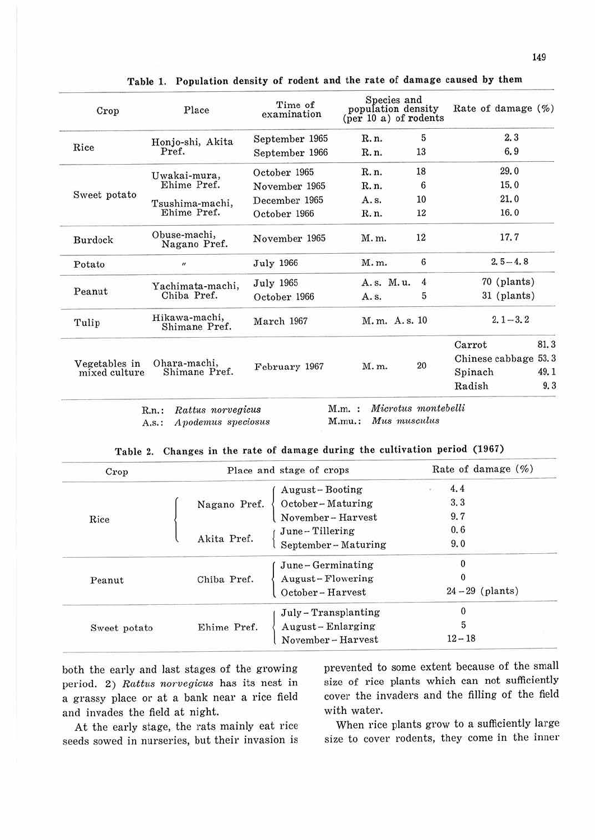| Place                          | Time of<br>examination                                                                  |               |                |                                                                                                   |                                                                                                       |
|--------------------------------|-----------------------------------------------------------------------------------------|---------------|----------------|---------------------------------------------------------------------------------------------------|-------------------------------------------------------------------------------------------------------|
|                                | September 1965                                                                          | R. n.         | 5              | 2,3                                                                                               |                                                                                                       |
| Pref.                          | September 1966                                                                          | R. n.         | 13             | 6.9                                                                                               |                                                                                                       |
|                                | October 1965                                                                            | R. n.         | 18             | 29.0                                                                                              |                                                                                                       |
| Ehime Pref.                    | November 1965                                                                           | R. n.         | 6              | 15.0                                                                                              |                                                                                                       |
|                                | December 1965                                                                           | A. s.         | 10             | 21.0                                                                                              |                                                                                                       |
| Ehime Pref.                    | October 1966                                                                            | R. n.         | 12             | 16.0                                                                                              |                                                                                                       |
| Obuse-machi,<br>Nagano Pref.   | November 1965                                                                           | M.m.          | 12             | 17.7                                                                                              |                                                                                                       |
| $\boldsymbol{\mu}$             | <b>July 1966</b>                                                                        | M.m.          | 6              |                                                                                                   |                                                                                                       |
|                                | July 1965                                                                               | A.s. M.u.     | $\overline{4}$ |                                                                                                   |                                                                                                       |
| Chiba Pref.                    | October 1966                                                                            | A. s.         | 5              |                                                                                                   |                                                                                                       |
| Hikawa-machi,<br>Shimane Pref. | March 1967                                                                              |               |                |                                                                                                   |                                                                                                       |
|                                |                                                                                         |               |                | Carrot                                                                                            | 81.3                                                                                                  |
|                                |                                                                                         |               |                |                                                                                                   | 53.3                                                                                                  |
| Shimane Pref.                  |                                                                                         |               |                | Spinach                                                                                           | 49.1                                                                                                  |
|                                |                                                                                         |               |                | Radish                                                                                            | 9.3                                                                                                   |
|                                | Honjo-shi, Akita<br>Uwakai-mura,<br>Tsushima-machi,<br>Yachimata-machi,<br>Ohara-machi, | February 1967 | M. m.          | Species and<br>population density<br>$(\text{per }10 \text{ a})$ of rodents<br>M.m. A.s. 10<br>20 | Rate of damage $(\% )$<br>$2.5 - 4.8$<br>70 (plants)<br>31 (plants)<br>$2.1 - 3.2$<br>Chinese cabbage |

Table 1. Population density of rodent and the rate of damage caused by them

R.n. : *Rattus 1w1·vegicus*  A.s.: Apodemus speciosus

M.mu.: Mus musculus

|  |  |  |  |  |  |  |  |  | Table 2. Changes in the rate of damage during the cultivation period (1967) |  |  |  |
|--|--|--|--|--|--|--|--|--|-----------------------------------------------------------------------------|--|--|--|
|--|--|--|--|--|--|--|--|--|-----------------------------------------------------------------------------|--|--|--|

| Crop         | Place and stage of crops |                      | Rate of damage (%) |
|--------------|--------------------------|----------------------|--------------------|
|              |                          | August-Booting       | 4.4                |
| Rice         | Nagano Pref.             | October-Maturing     | 3.3                |
|              |                          | November-Harvest     | 9.7                |
|              |                          | June-Tillering       | 0.6                |
|              | Akita Pref.              | September-Maturing   | 9.0                |
| Peanut       |                          | June-Germinating     | 0                  |
|              | Chiba Pref.              | August-Flowering     | 0                  |
|              |                          | October-Harvest      | $24-29$ (plants)   |
| Sweet potato |                          | July - Transplanting | 0                  |
|              | Ehime Pref.              | August-Enlarging     | 5                  |
|              |                          | November-Harvest     | $12 - 18$          |

both the early and last stages of the growing period. 2) *Rattus norvegicus* has its nest in a grassy place or at a bank near a rice field and invades the field at night.

At the early stage, the rats mainly eat rice seeds sowed in nurseries, but their invasion is prevented to some extent because of the small size of rice plants which can not sufficiently cover the invaders and the filling of the field with water.

When rice plants grow to a sufficiently large size to cover rodents, they come in the inner